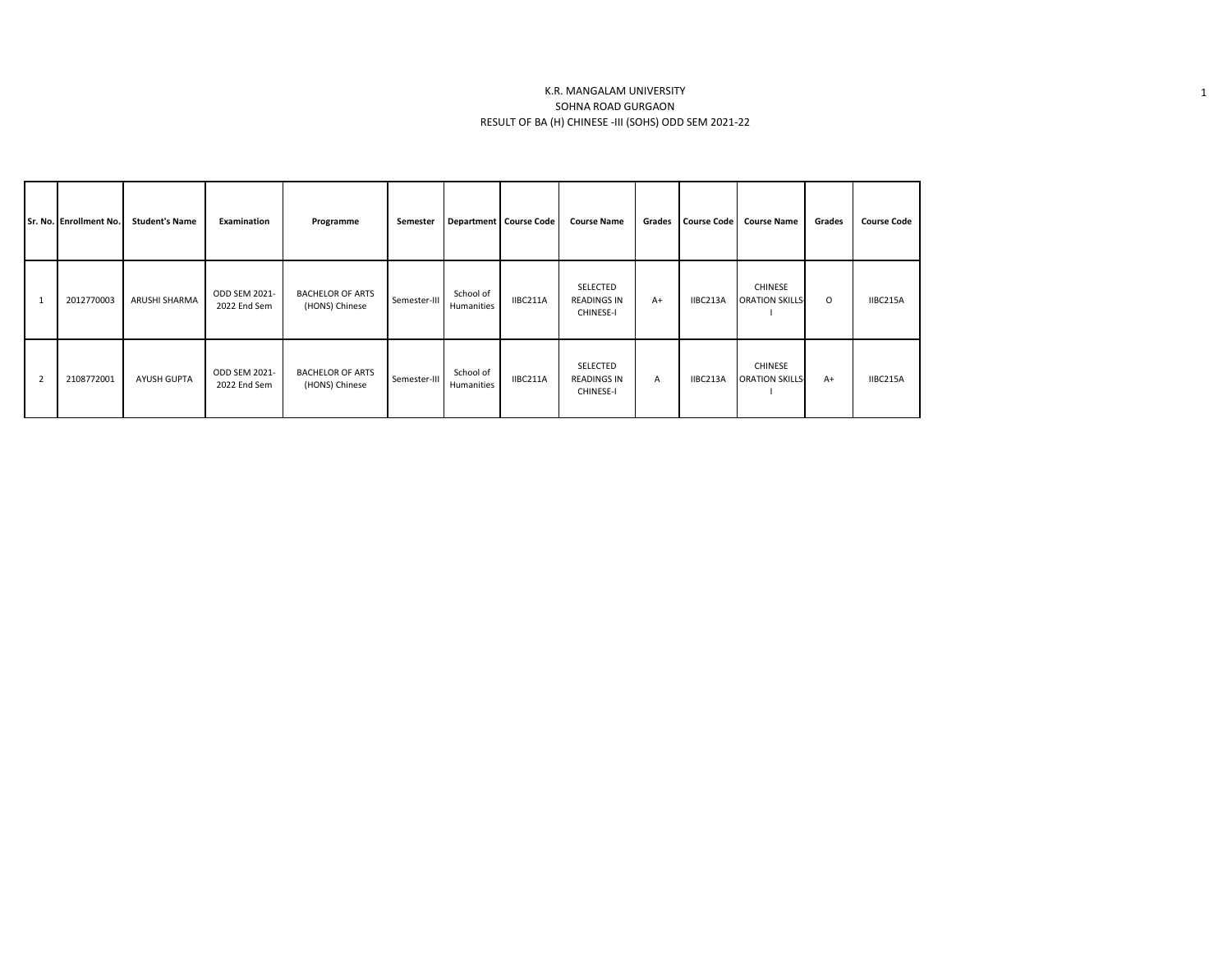## K.R. MANGALAM UNIVERSITY SOHNA ROAD GURGAON RESULT OF BA (H) CHINESE -III (SOHS) ODD SEM 2021-22

|                | Sr. No. Enrollment No. | <b>Student's Name</b> | Examination                   | Programme                                 | Semester     |                         | Department Course Code | <b>Course Name</b>                          | Grades       | Course Code | <b>Course Name</b>                       | Grades  | <b>Course Code</b> |
|----------------|------------------------|-----------------------|-------------------------------|-------------------------------------------|--------------|-------------------------|------------------------|---------------------------------------------|--------------|-------------|------------------------------------------|---------|--------------------|
|                | 2012770003             | ARUSHI SHARMA         | ODD SEM 2021-<br>2022 End Sem | <b>BACHELOR OF ARTS</b><br>(HONS) Chinese | Semester-III | School of<br>Humanities | IIBC211A               | SELECTED<br><b>READINGS IN</b><br>CHINESE-I | $A+$         | IIBC213A    | <b>CHINESE</b><br><b>ORATION SKILLS-</b> | $\circ$ | IIBC215A           |
| $\overline{2}$ | 2108772001             | <b>AYUSH GUPTA</b>    | ODD SEM 2021-<br>2022 End Sem | <b>BACHELOR OF ARTS</b><br>(HONS) Chinese | Semester-III | School of<br>Humanities | IIBC211A               | SELECTED<br><b>READINGS IN</b><br>CHINESE-I | $\mathsf{A}$ | IIBC213A    | <b>CHINESE</b><br><b>ORATION SKILLS-</b> | $A+$    | IIBC215A           |